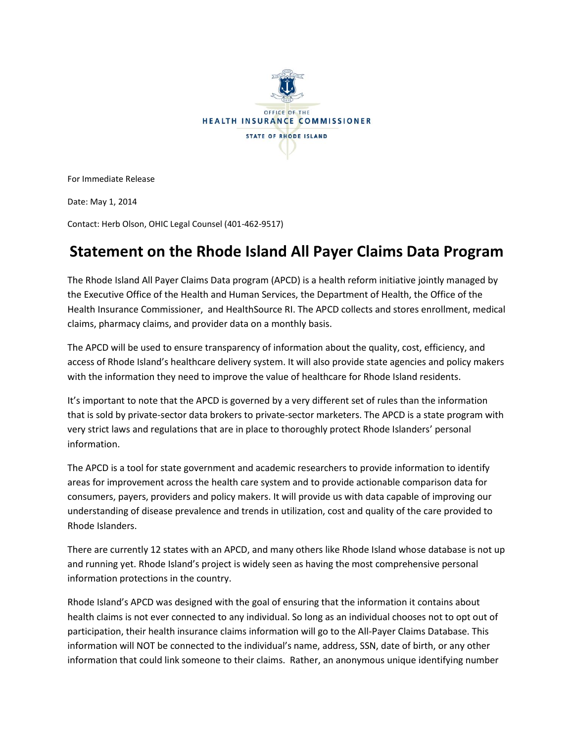

For Immediate Release

Date: May 1, 2014

Contact: Herb Olson, OHIC Legal Counsel (401-462-9517)

## **Statement on the Rhode Island All Payer Claims Data Program**

The Rhode Island All Payer Claims Data program (APCD) is a health reform initiative jointly managed by the Executive Office of the Health and Human Services, the Department of Health, the Office of the Health Insurance Commissioner, and HealthSource RI. The APCD collects and stores enrollment, medical claims, pharmacy claims, and provider data on a monthly basis.

The APCD will be used to ensure transparency of information about the quality, cost, efficiency, and access of Rhode Island's healthcare delivery system. It will also provide state agencies and policy makers with the information they need to improve the value of healthcare for Rhode Island residents.

It's important to note that the APCD is governed by a very different set of rules than the information that is sold by private-sector data brokers to private-sector marketers. The APCD is a state program with very strict laws and regulations that are in place to thoroughly protect Rhode Islanders' personal information.

The APCD is a tool for state government and academic researchers to provide information to identify areas for improvement across the health care system and to provide actionable comparison data for consumers, payers, providers and policy makers. It will provide us with data capable of improving our understanding of disease prevalence and trends in utilization, cost and quality of the care provided to Rhode Islanders.

There are currently 12 states with an APCD, and many others like Rhode Island whose database is not up and running yet. Rhode Island's project is widely seen as having the most comprehensive personal information protections in the country.

Rhode Island's APCD was designed with the goal of ensuring that the information it contains about health claims is not ever connected to any individual. So long as an individual chooses not to opt out of participation, their health insurance claims information will go to the All-Payer Claims Database. This information will NOT be connected to the individual's name, address, SSN, date of birth, or any other information that could link someone to their claims. Rather, an anonymous unique identifying number